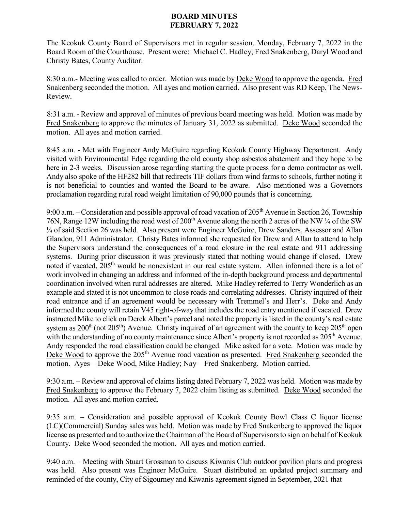## **BOARD MINUTES FEBRUARY 7, 2022**

The Keokuk County Board of Supervisors met in regular session, Monday, February 7, 2022 in the Board Room of the Courthouse. Present were: Michael C. Hadley, Fred Snakenberg, Daryl Wood and Christy Bates, County Auditor.

8:30 a.m.- Meeting was called to order. Motion was made by Deke Wood to approve the agenda. Fred Snakenberg seconded the motion. All ayes and motion carried. Also present was RD Keep, The News-Review.

8:31 a.m. - Review and approval of minutes of previous board meeting was held. Motion was made by Fred Snakenberg to approve the minutes of January 31, 2022 as submitted. Deke Wood seconded the motion. All ayes and motion carried.

8:45 a.m. - Met with Engineer Andy McGuire regarding Keokuk County Highway Department. Andy visited with Environmental Edge regarding the old county shop asbestos abatement and they hope to be here in 2-3 weeks. Discussion arose regarding starting the quote process for a demo contractor as well. Andy also spoke of the HF282 bill that redirects TIF dollars from wind farms to schools, further noting it is not beneficial to counties and wanted the Board to be aware. Also mentioned was a Governors proclamation regarding rural road weight limitation of 90,000 pounds that is concerning.

9:00 a.m. – Consideration and possible approval of road vacation of  $205<sup>th</sup>$  Avenue in Section 26, Township 76N, Range 12W including the road west of 200<sup>th</sup> Avenue along the north 2 acres of the NW 1/4 of the SW ¼ of said Section 26 was held. Also present were Engineer McGuire, Drew Sanders, Assessor and Allan Glandon, 911 Administrator. Christy Bates informed she requested for Drew and Allan to attend to help the Supervisors understand the consequences of a road closure in the real estate and 911 addressing systems. During prior discussion it was previously stated that nothing would change if closed. Drew noted if vacated, 205<sup>th</sup> would be nonexistent in our real estate system. Allen informed there is a lot of work involved in changing an address and informed of the in-depth background process and departmental coordination involved when rural addresses are altered. Mike Hadley referred to Terry Wonderlich as an example and stated it is not uncommon to close roads and correlating addresses. Christy inquired of their road entrance and if an agreement would be necessary with Tremmel's and Herr's. Deke and Andy informed the county will retain V45 right-of-way that includes the road entry mentioned if vacated. Drew instructed Mike to click on Derek Albert's parcel and noted the property is listed in the county's real estate system as  $200<sup>th</sup>$  (not  $205<sup>th</sup>$ ) Avenue. Christy inquired of an agreement with the county to keep  $205<sup>th</sup>$  open with the understanding of no county maintenance since Albert's property is not recorded as 205<sup>th</sup> Avenue. Andy responded the road classification could be changed. Mike asked for a vote. Motion was made by Deke Wood to approve the 205<sup>th</sup> Avenue road vacation as presented. Fred Snakenberg seconded the motion. Ayes – Deke Wood, Mike Hadley; Nay – Fred Snakenberg. Motion carried.

9:30 a.m. – Review and approval of claims listing dated February 7, 2022 was held. Motion was made by Fred Snakenberg to approve the February 7, 2022 claim listing as submitted. Deke Wood seconded the motion. All ayes and motion carried.

9:35 a.m. – Consideration and possible approval of Keokuk County Bowl Class C liquor license (LC)(Commercial) Sunday sales was held. Motion was made by Fred Snakenberg to approved the liquor license as presented and to authorize the Chairman of the Board of Supervisors to sign on behalf of Keokuk County. Deke Wood seconded the motion. All ayes and motion carried.

9:40 a.m. – Meeting with Stuart Grossman to discuss Kiwanis Club outdoor pavilion plans and progress was held. Also present was Engineer McGuire. Stuart distributed an updated project summary and reminded of the county, City of Sigourney and Kiwanis agreement signed in September, 2021 that